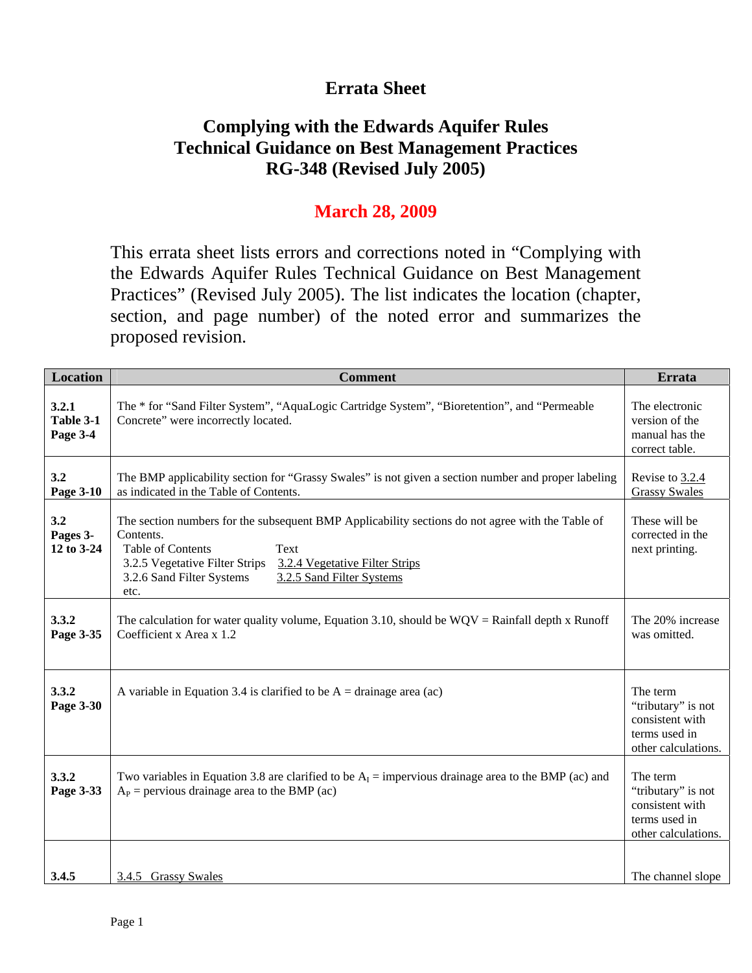## **Errata Sheet**

# **Complying with the Edwards Aquifer Rules Technical Guidance on Best Management Practices RG-348 (Revised July 2005)**

### **March 28, 2009**

This errata sheet lists errors and corrections noted in "Complying with the Edwards Aquifer Rules Technical Guidance on Best Management Practices" (Revised July 2005). The list indicates the location (chapter, section, and page number) of the noted error and summarizes the proposed revision.

| <b>Location</b>                | <b>Comment</b>                                                                                                                                                                                                                                                                          | <b>Errata</b>                                                                             |
|--------------------------------|-----------------------------------------------------------------------------------------------------------------------------------------------------------------------------------------------------------------------------------------------------------------------------------------|-------------------------------------------------------------------------------------------|
| 3.2.1<br>Table 3-1<br>Page 3-4 | The * for "Sand Filter System", "AquaLogic Cartridge System", "Bioretention", and "Permeable<br>Concrete" were incorrectly located.                                                                                                                                                     | The electronic<br>version of the<br>manual has the<br>correct table.                      |
| 3.2<br>Page 3-10               | The BMP applicability section for "Grassy Swales" is not given a section number and proper labeling<br>as indicated in the Table of Contents.                                                                                                                                           | Revise to 3.2.4<br><b>Grassy Swales</b>                                                   |
| 3.2<br>Pages 3-<br>12 to 3-24  | The section numbers for the subsequent BMP Applicability sections do not agree with the Table of<br>Contents.<br><b>Table of Contents</b><br>Text<br>3.2.5 Vegetative Filter Strips<br>3.2.4 Vegetative Filter Strips<br>3.2.5 Sand Filter Systems<br>3.2.6 Sand Filter Systems<br>etc. | These will be<br>corrected in the<br>next printing.                                       |
| 3.3.2<br>Page 3-35             | The calculation for water quality volume, Equation 3.10, should be $WQV =$ Rainfall depth x Runoff<br>Coefficient x Area x 1.2                                                                                                                                                          | The 20% increase<br>was omitted.                                                          |
| 3.3.2<br>Page 3-30             | A variable in Equation 3.4 is clarified to be $A = \text{drainage area (ac)}$                                                                                                                                                                                                           | The term<br>"tributary" is not<br>consistent with<br>terms used in<br>other calculations. |
| 3.3.2<br>Page 3-33             | Two variables in Equation 3.8 are clarified to be $A_1$ = impervious drainage area to the BMP (ac) and<br>$A_P$ = pervious drainage area to the BMP (ac)                                                                                                                                | The term<br>"tributary" is not<br>consistent with<br>terms used in<br>other calculations. |
| 3.4.5                          | 3.4.5 Grassy Swales                                                                                                                                                                                                                                                                     | The channel slope                                                                         |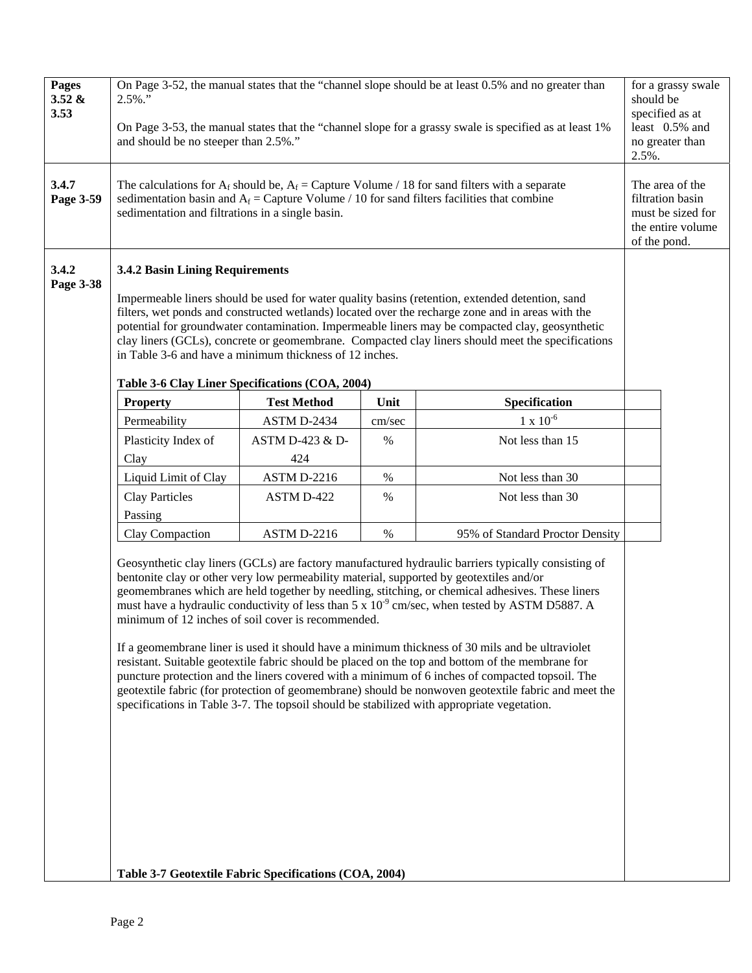| Pages<br>3.52 &<br>3.53 | $2.5\%$ ."<br>and should be no steeper than 2.5%."                                                                                            |                    |        | On Page 3-52, the manual states that the "channel slope should be at least 0.5% and no greater than<br>On Page 3-53, the manual states that the "channel slope for a grassy swale is specified as at least 1%                                                                                                                                                                                                                                                                                                                                                                                                                                                                                                                                                                                                                                                                                                                | should be<br>2.5%. | for a grassy swale<br>specified as at<br>least 0.5% and<br>no greater than    |
|-------------------------|-----------------------------------------------------------------------------------------------------------------------------------------------|--------------------|--------|------------------------------------------------------------------------------------------------------------------------------------------------------------------------------------------------------------------------------------------------------------------------------------------------------------------------------------------------------------------------------------------------------------------------------------------------------------------------------------------------------------------------------------------------------------------------------------------------------------------------------------------------------------------------------------------------------------------------------------------------------------------------------------------------------------------------------------------------------------------------------------------------------------------------------|--------------------|-------------------------------------------------------------------------------|
| 3.4.7<br>Page 3-59      | sedimentation and filtrations in a single basin.                                                                                              |                    |        | The calculations for A <sub>f</sub> should be, A <sub>f</sub> = Capture Volume / 18 for sand filters with a separate<br>sedimentation basin and $A_f$ = Capture Volume / 10 for sand filters facilities that combine                                                                                                                                                                                                                                                                                                                                                                                                                                                                                                                                                                                                                                                                                                         | of the pond.       | The area of the<br>filtration basin<br>must be sized for<br>the entire volume |
| 3.4.2<br>Page 3-38      | 3.4.2 Basin Lining Requirements<br>in Table 3-6 and have a minimum thickness of 12 inches.<br>Table 3-6 Clay Liner Specifications (COA, 2004) |                    |        | Impermeable liners should be used for water quality basins (retention, extended detention, sand<br>filters, wet ponds and constructed wetlands) located over the recharge zone and in areas with the<br>potential for groundwater contamination. Impermeable liners may be compacted clay, geosynthetic<br>clay liners (GCLs), concrete or geomembrane. Compacted clay liners should meet the specifications                                                                                                                                                                                                                                                                                                                                                                                                                                                                                                                 |                    |                                                                               |
|                         | <b>Property</b>                                                                                                                               | <b>Test Method</b> | Unit   | Specification                                                                                                                                                                                                                                                                                                                                                                                                                                                                                                                                                                                                                                                                                                                                                                                                                                                                                                                |                    |                                                                               |
|                         | Permeability                                                                                                                                  | ASTM D-2434        | cm/sec | $1 \times 10^{-6}$                                                                                                                                                                                                                                                                                                                                                                                                                                                                                                                                                                                                                                                                                                                                                                                                                                                                                                           |                    |                                                                               |
|                         | Plasticity Index of                                                                                                                           | ASTM D-423 & D-    | $\%$   | Not less than 15                                                                                                                                                                                                                                                                                                                                                                                                                                                                                                                                                                                                                                                                                                                                                                                                                                                                                                             |                    |                                                                               |
|                         | Clay                                                                                                                                          | 424                |        |                                                                                                                                                                                                                                                                                                                                                                                                                                                                                                                                                                                                                                                                                                                                                                                                                                                                                                                              |                    |                                                                               |
|                         | Liquid Limit of Clay                                                                                                                          | ASTM D-2216        | %      | Not less than 30                                                                                                                                                                                                                                                                                                                                                                                                                                                                                                                                                                                                                                                                                                                                                                                                                                                                                                             |                    |                                                                               |
|                         | <b>Clay Particles</b><br>Passing                                                                                                              | ASTM D-422         | $\%$   | Not less than 30                                                                                                                                                                                                                                                                                                                                                                                                                                                                                                                                                                                                                                                                                                                                                                                                                                                                                                             |                    |                                                                               |
|                         | Clay Compaction                                                                                                                               | ASTM D-2216        | $\%$   | 95% of Standard Proctor Density                                                                                                                                                                                                                                                                                                                                                                                                                                                                                                                                                                                                                                                                                                                                                                                                                                                                                              |                    |                                                                               |
|                         | minimum of 12 inches of soil cover is recommended.<br>Table 3-7 Geotextile Fabric Specifications (COA, 2004)                                  |                    |        | Geosynthetic clay liners (GCLs) are factory manufactured hydraulic barriers typically consisting of<br>bentonite clay or other very low permeability material, supported by geotextiles and/or<br>geomembranes which are held together by needling, stitching, or chemical adhesives. These liners<br>must have a hydraulic conductivity of less than $5 \times 10^{-9}$ cm/sec, when tested by ASTM D5887. A<br>If a geomembrane liner is used it should have a minimum thickness of 30 mils and be ultraviolet<br>resistant. Suitable geotextile fabric should be placed on the top and bottom of the membrane for<br>puncture protection and the liners covered with a minimum of 6 inches of compacted topsoil. The<br>geotextile fabric (for protection of geomembrane) should be nonwoven geotextile fabric and meet the<br>specifications in Table 3-7. The topsoil should be stabilized with appropriate vegetation. |                    |                                                                               |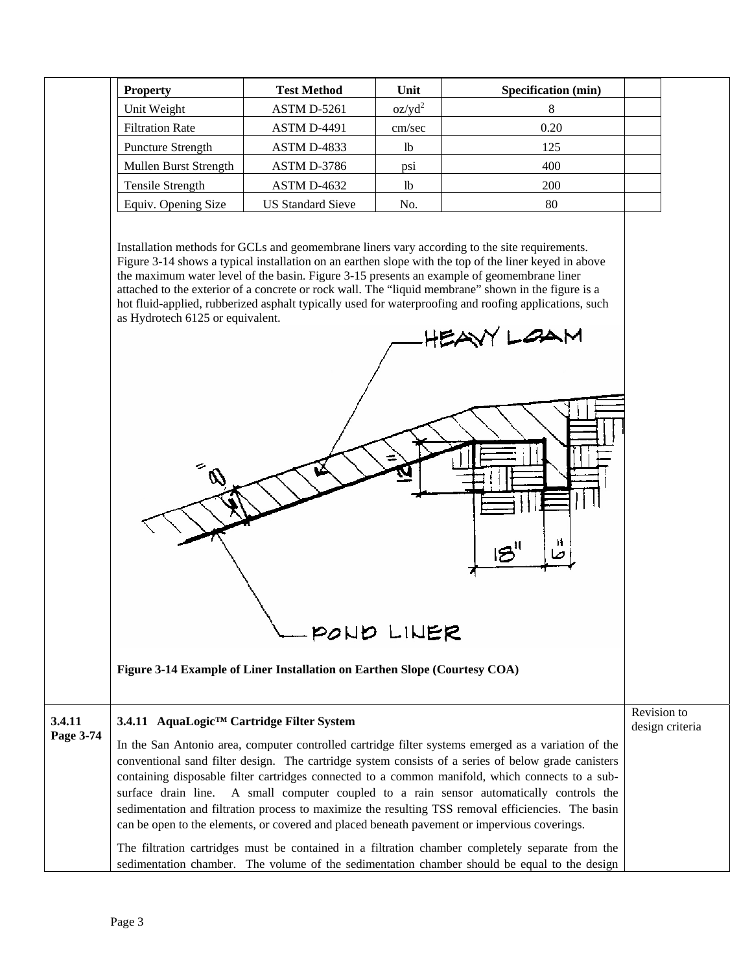| <b>Property</b>          | <b>Test Method</b>       | Unit           | <b>Specification</b> (min) |
|--------------------------|--------------------------|----------------|----------------------------|
| Unit Weight              | $ASTM D-5261$            | $oz/yd^2$      |                            |
| <b>Filtration Rate</b>   | <b>ASTM D-4491</b>       | cm/sec         | 0.20                       |
| <b>Puncture Strength</b> | <b>ASTM D-4833</b>       | <sup>1</sup> b | 125                        |
| Mullen Burst Strength    | ASTM D-3786              | psi            | 400                        |
| Tensile Strength         | $ASTM D-4632$            | <sup>1</sup>   | 200                        |
| Equiv. Opening Size      | <b>US Standard Sieve</b> | No.            | 80                         |

Installation methods for GCLs and geomembrane liners vary according to the site requirements. Figure 3-14 shows a typical installation on an earthen slope with the top of the liner keyed in above the maximum water level of the basin. Figure 3-15 presents an example of geomembrane liner attached to the exterior of a concrete or rock wall. The "liquid membrane" shown in the figure is a hot fluid-applied, rubberized asphalt typically used for waterproofing and roofing applications, such as Hydrotech 6125 or equivalent.

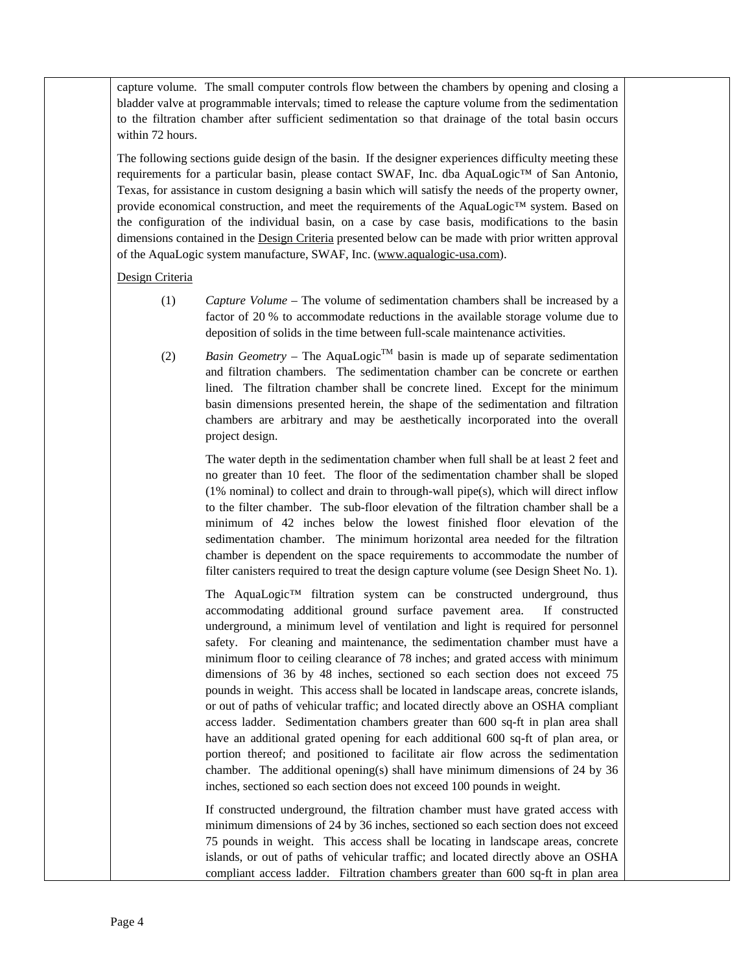capture volume. The small computer controls flow between the chambers by opening and closing a bladder valve at programmable intervals; timed to release the capture volume from the sedimentation to the filtration chamber after sufficient sedimentation so that drainage of the total basin occurs within 72 hours.

The following sections guide design of the basin. If the designer experiences difficulty meeting these requirements for a particular basin, please contact SWAF, Inc. dba AquaLogic™ of San Antonio, Texas, for assistance in custom designing a basin which will satisfy the needs of the property owner, provide economical construction, and meet the requirements of the AquaLogic™ system. Based on the configuration of the individual basin, on a case by case basis, modifications to the basin dimensions contained in the Design Criteria presented below can be made with prior written approval of the AquaLogic system manufacture, SWAF, Inc. (www.aqualogic-usa.com).

#### Design Criteria

- (1) *Capture Volume* The volume of sedimentation chambers shall be increased by a factor of 20 % to accommodate reductions in the available storage volume due to deposition of solids in the time between full-scale maintenance activities.
- (2) *Basin Geometry The AquaLogic*<sup>TM</sup> basin is made up of separate sedimentation and filtration chambers. The sedimentation chamber can be concrete or earthen lined. The filtration chamber shall be concrete lined. Except for the minimum basin dimensions presented herein, the shape of the sedimentation and filtration chambers are arbitrary and may be aesthetically incorporated into the overall project design.

 The water depth in the sedimentation chamber when full shall be at least 2 feet and no greater than 10 feet. The floor of the sedimentation chamber shall be sloped  $(1\% \text{ nominal})$  to collect and drain to through-wall pipe $(s)$ , which will direct inflow to the filter chamber. The sub-floor elevation of the filtration chamber shall be a minimum of 42 inches below the lowest finished floor elevation of the sedimentation chamber. The minimum horizontal area needed for the filtration chamber is dependent on the space requirements to accommodate the number of filter canisters required to treat the design capture volume (see Design Sheet No. 1).

The AquaLogic™ filtration system can be constructed underground, thus accommodating additional ground surface pavement area. If constructed underground, a minimum level of ventilation and light is required for personnel safety. For cleaning and maintenance, the sedimentation chamber must have a minimum floor to ceiling clearance of 78 inches; and grated access with minimum dimensions of 36 by 48 inches, sectioned so each section does not exceed 75 pounds in weight. This access shall be located in landscape areas, concrete islands, or out of paths of vehicular traffic; and located directly above an OSHA compliant access ladder. Sedimentation chambers greater than 600 sq-ft in plan area shall have an additional grated opening for each additional 600 sq-ft of plan area, or portion thereof; and positioned to facilitate air flow across the sedimentation chamber. The additional opening(s) shall have minimum dimensions of 24 by 36 inches, sectioned so each section does not exceed 100 pounds in weight.

 If constructed underground, the filtration chamber must have grated access with minimum dimensions of 24 by 36 inches, sectioned so each section does not exceed 75 pounds in weight. This access shall be locating in landscape areas, concrete islands, or out of paths of vehicular traffic; and located directly above an OSHA compliant access ladder. Filtration chambers greater than 600 sq-ft in plan area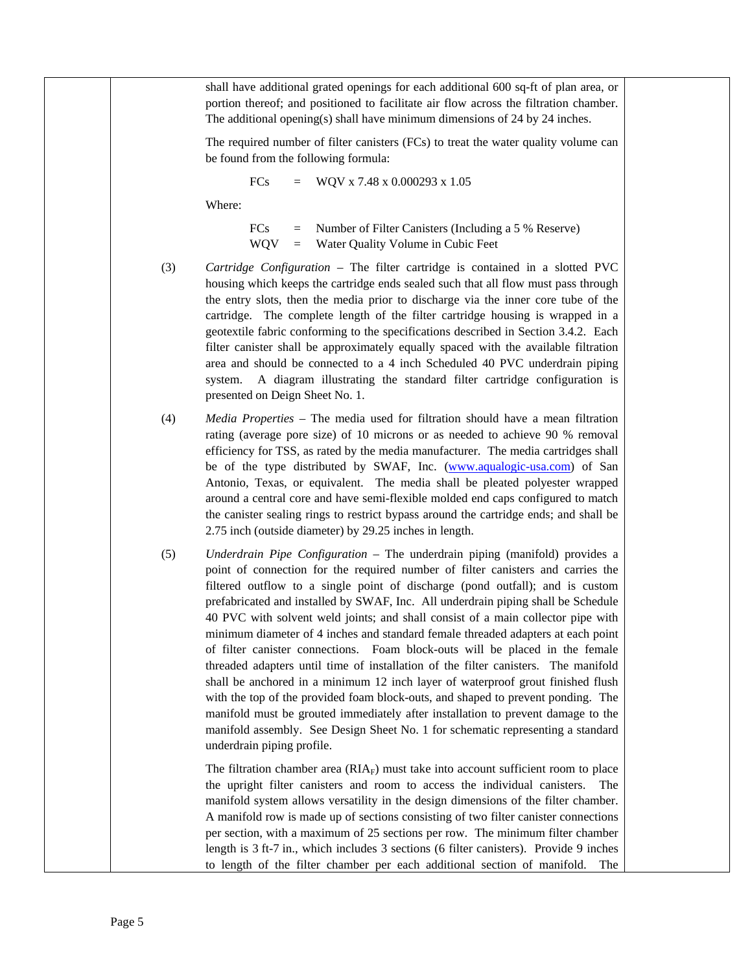shall have additional grated openings for each additional 600 sq-ft of plan area, or portion thereof; and positioned to facilitate air flow across the filtration chamber. The additional opening(s) shall have minimum dimensions of 24 by 24 inches.

 The required number of filter canisters (FCs) to treat the water quality volume can be found from the following formula:

$$
FCs = WQV x 7.48 x 0.000293 x 1.05
$$

Where:

 FCs = Number of Filter Canisters (Including a 5 % Reserve) WQV = Water Quality Volume in Cubic Feet

- (3) *Cartridge Configuration –* The filter cartridge is contained in a slotted PVC housing which keeps the cartridge ends sealed such that all flow must pass through the entry slots, then the media prior to discharge via the inner core tube of the cartridge. The complete length of the filter cartridge housing is wrapped in a geotextile fabric conforming to the specifications described in Section 3.4.2. Each filter canister shall be approximately equally spaced with the available filtration area and should be connected to a 4 inch Scheduled 40 PVC underdrain piping system. A diagram illustrating the standard filter cartridge configuration is presented on Deign Sheet No. 1.
- (4) *Media Properties* The media used for filtration should have a mean filtration rating (average pore size) of 10 microns or as needed to achieve 90 % removal efficiency for TSS, as rated by the media manufacturer. The media cartridges shall be of the type distributed by SWAF, Inc. (www.aqualogic-usa.com) of San Antonio, Texas, or equivalent. The media shall be pleated polyester wrapped around a central core and have semi-flexible molded end caps configured to match the canister sealing rings to restrict bypass around the cartridge ends; and shall be 2.75 inch (outside diameter) by 29.25 inches in length.
- (5) *Underdrain Pipe Configuration* The underdrain piping (manifold) provides a point of connection for the required number of filter canisters and carries the filtered outflow to a single point of discharge (pond outfall); and is custom prefabricated and installed by SWAF, Inc. All underdrain piping shall be Schedule 40 PVC with solvent weld joints; and shall consist of a main collector pipe with minimum diameter of 4 inches and standard female threaded adapters at each point of filter canister connections. Foam block-outs will be placed in the female threaded adapters until time of installation of the filter canisters. The manifold shall be anchored in a minimum 12 inch layer of waterproof grout finished flush with the top of the provided foam block-outs, and shaped to prevent ponding. The manifold must be grouted immediately after installation to prevent damage to the manifold assembly. See Design Sheet No. 1 for schematic representing a standard underdrain piping profile.

The filtration chamber area  $(RIA<sub>F</sub>)$  must take into account sufficient room to place the upright filter canisters and room to access the individual canisters. The manifold system allows versatility in the design dimensions of the filter chamber. A manifold row is made up of sections consisting of two filter canister connections per section, with a maximum of 25 sections per row. The minimum filter chamber length is 3 ft-7 in., which includes 3 sections (6 filter canisters). Provide 9 inches to length of the filter chamber per each additional section of manifold. The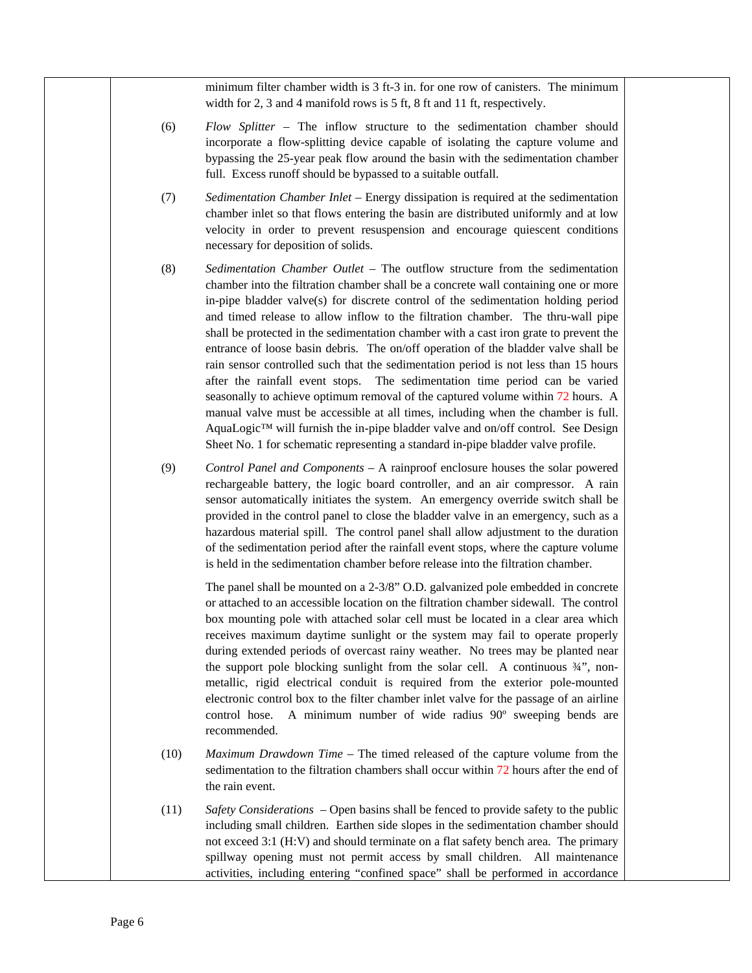minimum filter chamber width is 3 ft-3 in. for one row of canisters. The minimum width for 2, 3 and 4 manifold rows is 5 ft, 8 ft and 11 ft, respectively.

- (6) *Flow Splitter –* The inflow structure to the sedimentation chamber should incorporate a flow-splitting device capable of isolating the capture volume and bypassing the 25-year peak flow around the basin with the sedimentation chamber full. Excess runoff should be bypassed to a suitable outfall.
- (7) *Sedimentation Chamber Inlet –* Energy dissipation is required at the sedimentation chamber inlet so that flows entering the basin are distributed uniformly and at low velocity in order to prevent resuspension and encourage quiescent conditions necessary for deposition of solids.
- (8) *Sedimentation Chamber Outlet* The outflow structure from the sedimentation chamber into the filtration chamber shall be a concrete wall containing one or more in-pipe bladder valve(s) for discrete control of the sedimentation holding period and timed release to allow inflow to the filtration chamber. The thru-wall pipe shall be protected in the sedimentation chamber with a cast iron grate to prevent the entrance of loose basin debris. The on/off operation of the bladder valve shall be rain sensor controlled such that the sedimentation period is not less than 15 hours after the rainfall event stops. The sedimentation time period can be varied seasonally to achieve optimum removal of the captured volume within 72 hours. A manual valve must be accessible at all times, including when the chamber is full. AquaLogic™ will furnish the in-pipe bladder valve and on/off control. See Design Sheet No. 1 for schematic representing a standard in-pipe bladder valve profile.
- (9) *Control Panel and Components* A rainproof enclosure houses the solar powered rechargeable battery, the logic board controller, and an air compressor. A rain sensor automatically initiates the system. An emergency override switch shall be provided in the control panel to close the bladder valve in an emergency, such as a hazardous material spill. The control panel shall allow adjustment to the duration of the sedimentation period after the rainfall event stops, where the capture volume is held in the sedimentation chamber before release into the filtration chamber.

 The panel shall be mounted on a 2-3/8" O.D. galvanized pole embedded in concrete or attached to an accessible location on the filtration chamber sidewall. The control box mounting pole with attached solar cell must be located in a clear area which receives maximum daytime sunlight or the system may fail to operate properly during extended periods of overcast rainy weather. No trees may be planted near the support pole blocking sunlight from the solar cell. A continuous  $\frac{3}{4}$ , nonmetallic, rigid electrical conduit is required from the exterior pole-mounted electronic control box to the filter chamber inlet valve for the passage of an airline control hose. A minimum number of wide radius 90º sweeping bends are recommended.

- (10) *Maximum Drawdown Time* The timed released of the capture volume from the sedimentation to the filtration chambers shall occur within 72 hours after the end of the rain event.
- (11) *Safety Considerations* Open basins shall be fenced to provide safety to the public including small children. Earthen side slopes in the sedimentation chamber should not exceed 3:1 (H:V) and should terminate on a flat safety bench area. The primary spillway opening must not permit access by small children. All maintenance activities, including entering "confined space" shall be performed in accordance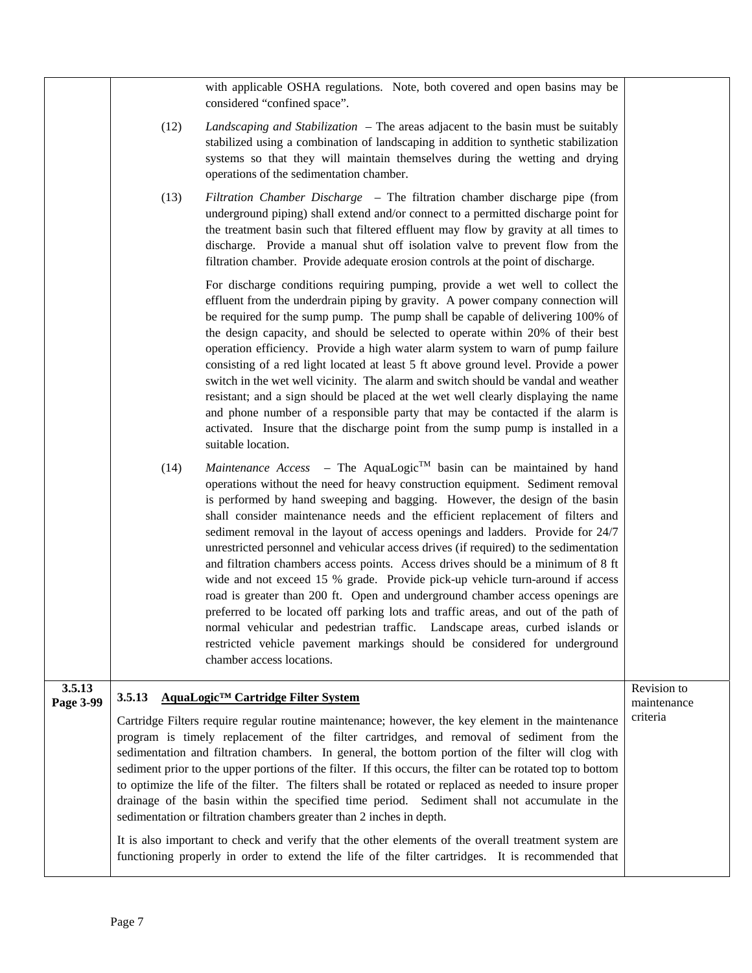with applicable OSHA regulations. Note, both covered and open basins may be considered "confined space".

- (12) *Landscaping and Stabilization* The areas adjacent to the basin must be suitably stabilized using a combination of landscaping in addition to synthetic stabilization systems so that they will maintain themselves during the wetting and drying operations of the sedimentation chamber.
- (13) *Filtration Chamber Discharge* The filtration chamber discharge pipe (from underground piping) shall extend and/or connect to a permitted discharge point for the treatment basin such that filtered effluent may flow by gravity at all times to discharge. Provide a manual shut off isolation valve to prevent flow from the filtration chamber. Provide adequate erosion controls at the point of discharge.

 For discharge conditions requiring pumping, provide a wet well to collect the effluent from the underdrain piping by gravity. A power company connection will be required for the sump pump. The pump shall be capable of delivering 100% of the design capacity, and should be selected to operate within 20% of their best operation efficiency. Provide a high water alarm system to warn of pump failure consisting of a red light located at least 5 ft above ground level. Provide a power switch in the wet well vicinity. The alarm and switch should be vandal and weather resistant; and a sign should be placed at the wet well clearly displaying the name and phone number of a responsible party that may be contacted if the alarm is activated. Insure that the discharge point from the sump pump is installed in a suitable location.

(14) *Maintenance Access* – The AquaLogic<sup>TM</sup> basin can be maintained by hand operations without the need for heavy construction equipment. Sediment removal is performed by hand sweeping and bagging. However, the design of the basin shall consider maintenance needs and the efficient replacement of filters and sediment removal in the layout of access openings and ladders. Provide for 24/7 unrestricted personnel and vehicular access drives (if required) to the sedimentation and filtration chambers access points. Access drives should be a minimum of 8 ft wide and not exceed 15 % grade. Provide pick-up vehicle turn-around if access road is greater than 200 ft. Open and underground chamber access openings are preferred to be located off parking lots and traffic areas, and out of the path of normal vehicular and pedestrian traffic. Landscape areas, curbed islands or restricted vehicle pavement markings should be considered for underground chamber access locations.

#### **3.5.13 Page 3-99 3.5.13 AquaLogic™ Cartridge Filter System** Cartridge Filters require regular routine maintenance; however, the key element in the maintenance program is timely replacement of the filter cartridges, and removal of sediment from the sedimentation and filtration chambers. In general, the bottom portion of the filter will clog with sediment prior to the upper portions of the filter. If this occurs, the filter can be rotated top to bottom to optimize the life of the filter. The filters shall be rotated or replaced as needed to insure proper drainage of the basin within the specified time period. Sediment shall not accumulate in the sedimentation or filtration chambers greater than 2 inches in depth. It is also important to check and verify that the other elements of the overall treatment system are functioning properly in order to extend the life of the filter cartridges. It is recommended that Revision to maintenance criteria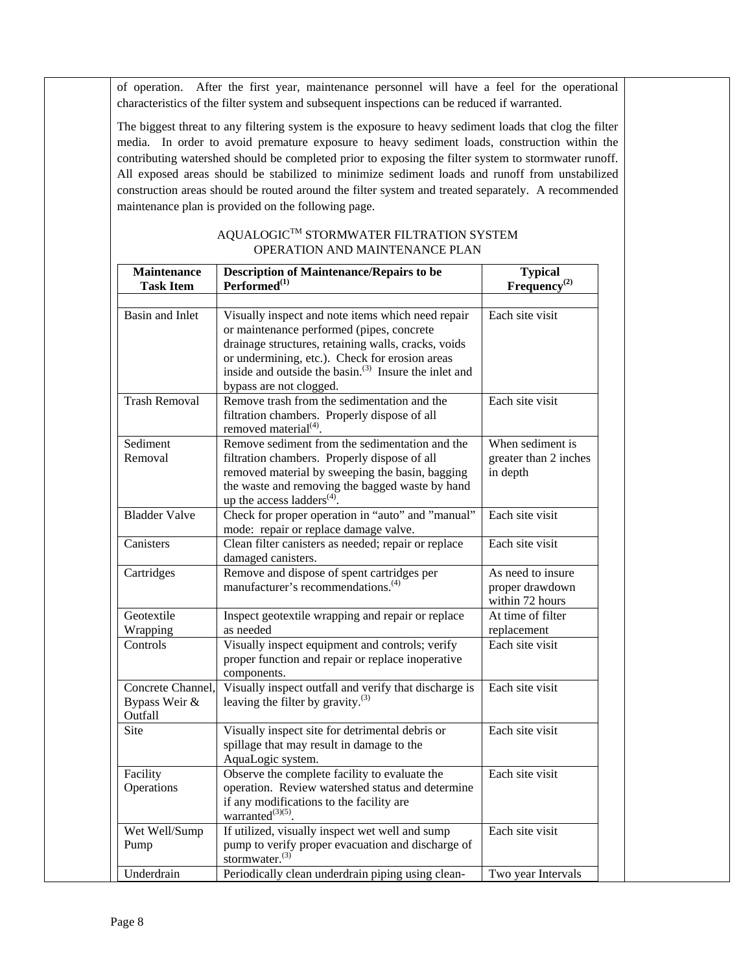of operation. After the first year, maintenance personnel will have a feel for the operational characteristics of the filter system and subsequent inspections can be reduced if warranted.

The biggest threat to any filtering system is the exposure to heavy sediment loads that clog the filter media. In order to avoid premature exposure to heavy sediment loads, construction within the contributing watershed should be completed prior to exposing the filter system to stormwater runoff. All exposed areas should be stabilized to minimize sediment loads and runoff from unstabilized construction areas should be routed around the filter system and treated separately. A recommended maintenance plan is provided on the following page.

| <b>Maintenance</b><br><b>Task Item</b>        | <b>Description of Maintenance/Repairs to be</b><br>Performed <sup>(1)</sup>                                                                                                                                                                                                                             | <b>Typical</b><br>Frequency <sup>(2)</sup>              |
|-----------------------------------------------|---------------------------------------------------------------------------------------------------------------------------------------------------------------------------------------------------------------------------------------------------------------------------------------------------------|---------------------------------------------------------|
| <b>Basin and Inlet</b>                        | Visually inspect and note items which need repair<br>or maintenance performed (pipes, concrete<br>drainage structures, retaining walls, cracks, voids<br>or undermining, etc.). Check for erosion areas<br>inside and outside the basin. <sup>(3)</sup> Insure the inlet and<br>bypass are not clogged. | Each site visit                                         |
| <b>Trash Removal</b>                          | Remove trash from the sedimentation and the<br>filtration chambers. Properly dispose of all<br>removed material <sup>(4)</sup> .                                                                                                                                                                        | Each site visit                                         |
| Sediment<br>Removal                           | Remove sediment from the sedimentation and the<br>filtration chambers. Properly dispose of all<br>removed material by sweeping the basin, bagging<br>the waste and removing the bagged waste by hand<br>up the access ladders $(4)$ .                                                                   | When sediment is<br>greater than 2 inches<br>in depth   |
| <b>Bladder Valve</b>                          | Check for proper operation in "auto" and "manual"<br>mode: repair or replace damage valve.                                                                                                                                                                                                              | Each site visit                                         |
| Canisters                                     | Clean filter canisters as needed; repair or replace<br>damaged canisters.                                                                                                                                                                                                                               | Each site visit                                         |
| Cartridges                                    | Remove and dispose of spent cartridges per<br>manufacturer's recommendations. <sup>(4)</sup>                                                                                                                                                                                                            | As need to insure<br>proper drawdown<br>within 72 hours |
| Geotextile<br>Wrapping                        | Inspect geotextile wrapping and repair or replace<br>as needed                                                                                                                                                                                                                                          | At time of filter<br>replacement                        |
| Controls                                      | Visually inspect equipment and controls; verify<br>proper function and repair or replace inoperative<br>components.                                                                                                                                                                                     | Each site visit                                         |
| Concrete Channel,<br>Bypass Weir &<br>Outfall | Visually inspect outfall and verify that discharge is<br>leaving the filter by gravity. $(3)$                                                                                                                                                                                                           | Each site visit                                         |
| <b>Site</b>                                   | Visually inspect site for detrimental debris or<br>spillage that may result in damage to the<br>AquaLogic system.                                                                                                                                                                                       | Each site visit                                         |
| Facility<br>Operations                        | Observe the complete facility to evaluate the<br>operation. Review watershed status and determine<br>if any modifications to the facility are<br>warranted $^{(3)(5)}$ .                                                                                                                                | Each site visit                                         |
| Wet Well/Sump<br>Pump                         | If utilized, visually inspect wet well and sump<br>pump to verify proper evacuation and discharge of<br>stormwater. $(3)$                                                                                                                                                                               | Each site visit                                         |
| Underdrain                                    | Periodically clean underdrain piping using clean-                                                                                                                                                                                                                                                       | Two year Intervals                                      |

### $\mathbf{A}\mathbf{Q}\mathbf{U}\mathbf{A}\mathbf{L}\mathbf{O}\mathbf{G}\mathbf{I}\mathbf{C}^{\mathsf{TM}}$  STORMWATER FILTRATION SYSTEM OPERATION AND MAINTENANCE PLAN